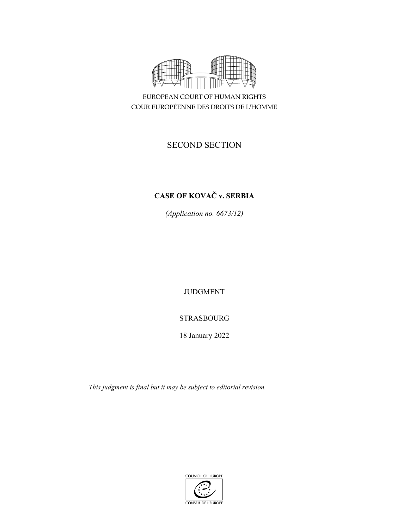

EUROPEAN COURT OF HUMAN RIGHTS COUR EUROPÉENNE DES DROITS DE L'HOMME

# SECOND SECTION

## **CASE OF KOVAČ v. SERBIA**

*(Application no. 6673/12)* 

JUDGMENT

## STRASBOURG

18 January 2022

*This judgment is final but it may be subject to editorial revision.* 

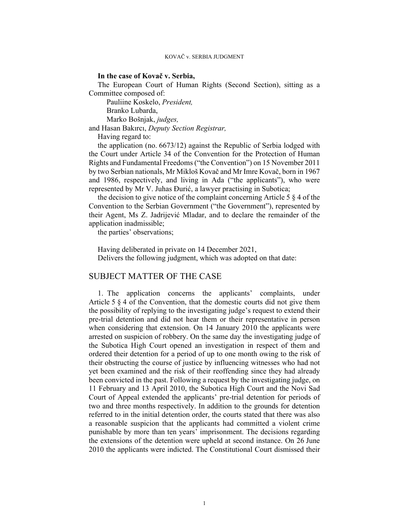KOVAČ v. SERBIA JUDGMENT

#### **In the case of Kovač v. Serbia,**

The European Court of Human Rights (Second Section), sitting as a Committee composed of:

 Pauliine Koskelo, *President,*  Branko Lubarda,

Marko Bošnjak, *judges,*

and Hasan Bakırcı, *Deputy Section Registrar,*

Having regard to:

the application (no. 6673/12) against the Republic of Serbia lodged with the Court under Article 34 of the Convention for the Protection of Human Rights and Fundamental Freedoms ("the Convention") on 15 November 2011 by two Serbian nationals, Mr Mikloš Kovač and Mr Imre Kovač, born in 1967 and 1986, respectively, and living in Ada ("the applicants"), who were represented by Mr V. Juhas Đurić, a lawyer practising in Subotica;

the decision to give notice of the complaint concerning Article 5  $\S$  4 of the Convention to the Serbian Government ("the Government"), represented by their Agent, Ms Z. Jadrijević Mladar, and to declare the remainder of the application inadmissible;

the parties' observations;

Having deliberated in private on 14 December 2021, Delivers the following judgment, which was adopted on that date:

#### SUBJECT MATTER OF THE CASE

1. The application concerns the applicants' complaints, under Article 5 § 4 of the Convention, that the domestic courts did not give them the possibility of replying to the investigating judge's request to extend their pre-trial detention and did not hear them or their representative in person when considering that extension. On 14 January 2010 the applicants were arrested on suspicion of robbery. On the same day the investigating judge of the Subotica High Court opened an investigation in respect of them and ordered their detention for a period of up to one month owing to the risk of their obstructing the course of justice by influencing witnesses who had not yet been examined and the risk of their reoffending since they had already been convicted in the past. Following a request by the investigating judge, on 11 February and 13 April 2010, the Subotica High Court and the Novi Sad Court of Appeal extended the applicants' pre-trial detention for periods of two and three months respectively. In addition to the grounds for detention referred to in the initial detention order, the courts stated that there was also a reasonable suspicion that the applicants had committed a violent crime punishable by more than ten years' imprisonment. The decisions regarding the extensions of the detention were upheld at second instance. On 26 June 2010 the applicants were indicted. The Constitutional Court dismissed their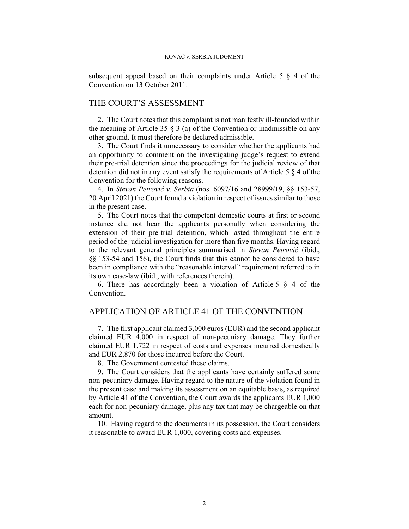subsequent appeal based on their complaints under Article 5 § 4 of the Convention on 13 October 2011.

#### THE COURT'S ASSESSMENT

2. The Court notes that this complaint is not manifestly ill-founded within the meaning of Article 35  $\S$  3 (a) of the Convention or inadmissible on any other ground. It must therefore be declared admissible.

3. The Court finds it unnecessary to consider whether the applicants had an opportunity to comment on the investigating judge's request to extend their pre-trial detention since the proceedings for the judicial review of that detention did not in any event satisfy the requirements of Article 5 § 4 of the Convention for the following reasons.

4. In *Stevan Petrović v. Serbia* (nos. 6097/16 and 28999/19, §§ 153-57, 20 April 2021) the Court found a violation in respect of issues similar to those in the present case.

5. The Court notes that the competent domestic courts at first or second instance did not hear the applicants personally when considering the extension of their pre-trial detention, which lasted throughout the entire period of the judicial investigation for more than five months. Having regard to the relevant general principles summarised in *Stevan Petrović* (ibid., §§ 153-54 and 156), the Court finds that this cannot be considered to have been in compliance with the "reasonable interval" requirement referred to in its own case-law (ibid., with references therein).

6. There has accordingly been a violation of Article 5  $\S$  4 of the Convention.

### APPLICATION OF ARTICLE 41 OF THE CONVENTION

7. The first applicant claimed 3,000 euros (EUR) and the second applicant claimed EUR 4,000 in respect of non-pecuniary damage. They further claimed EUR 1,722 in respect of costs and expenses incurred domestically and EUR 2,870 for those incurred before the Court.

8. The Government contested these claims.

9. The Court considers that the applicants have certainly suffered some non-pecuniary damage. Having regard to the nature of the violation found in the present case and making its assessment on an equitable basis, as required by Article 41 of the Convention, the Court awards the applicants EUR 1,000 each for non-pecuniary damage, plus any tax that may be chargeable on that amount.

10. Having regard to the documents in its possession, the Court considers it reasonable to award EUR 1,000, covering costs and expenses.